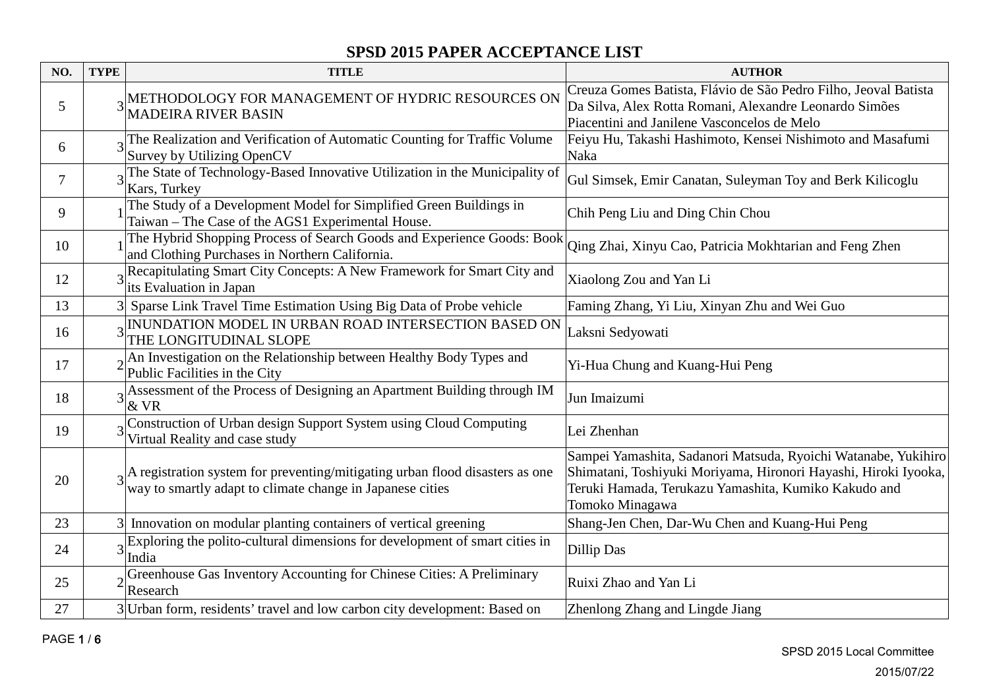| NO. | <b>TYPE</b> | <b>TITLE</b>                                                                                                                                                          | <b>AUTHOR</b>                                                                                                                                                                                                |
|-----|-------------|-----------------------------------------------------------------------------------------------------------------------------------------------------------------------|--------------------------------------------------------------------------------------------------------------------------------------------------------------------------------------------------------------|
| 5   |             | 3 METHODOLOGY FOR MANAGEMENT OF HYDRIC RESOURCES ON<br><b>MADEIRA RIVER BASIN</b>                                                                                     | Creuza Gomes Batista, Flávio de São Pedro Filho, Jeoval Batista<br>Da Silva, Alex Rotta Romani, Alexandre Leonardo Simões<br>Piacentini and Janilene Vasconcelos de Melo                                     |
| 6   |             | The Realization and Verification of Automatic Counting for Traffic Volume<br>Survey by Utilizing OpenCV                                                               | Feiyu Hu, Takashi Hashimoto, Kensei Nishimoto and Masafumi<br>Naka                                                                                                                                           |
| 7   |             | The State of Technology-Based Innovative Utilization in the Municipality of<br>Kars, Turkey                                                                           | Gul Simsek, Emir Canatan, Suleyman Toy and Berk Kilicoglu                                                                                                                                                    |
| 9   |             | The Study of a Development Model for Simplified Green Buildings in<br>Taiwan - The Case of the AGS1 Experimental House.                                               | Chih Peng Liu and Ding Chin Chou                                                                                                                                                                             |
| 10  |             | The Hybrid Shopping Process of Search Goods and Experience Goods: Book<br>and Clothing Purchases in Northern California.                                              | Qing Zhai, Xinyu Cao, Patricia Mokhtarian and Feng Zhen                                                                                                                                                      |
| 12  |             | 3Recapitulating Smart City Concepts: A New Framework for Smart City and<br>its Evaluation in Japan                                                                    | Xiaolong Zou and Yan Li                                                                                                                                                                                      |
| 13  |             | 3 Sparse Link Travel Time Estimation Using Big Data of Probe vehicle                                                                                                  | Faming Zhang, Yi Liu, Xinyan Zhu and Wei Guo                                                                                                                                                                 |
| 16  |             | 3 INUNDATION MODEL IN URBAN ROAD INTERSECTION BASED ON<br>THE LONGITUDINAL SLOPE                                                                                      | Laksni Sedyowati                                                                                                                                                                                             |
| 17  |             | $2\begin{vmatrix} \text{An Investigation on the Relationship between Healthy Body Types and} \\ \text{Bulk Postlin: } \end{vmatrix}$<br>Public Facilities in the City | Yi-Hua Chung and Kuang-Hui Peng                                                                                                                                                                              |
| 18  |             | $3$ Assessment of the Process of Designing an Apartment Building through IM<br>& VR                                                                                   | Jun Imaizumi                                                                                                                                                                                                 |
| 19  |             | Construction of Urban design Support System using Cloud Computing<br>Virtual Reality and case study                                                                   | Lei Zhenhan                                                                                                                                                                                                  |
| 20  |             | $_{3}$  A registration system for preventing/mitigating urban flood disasters as one<br>way to smartly adapt to climate change in Japanese cities                     | Sampei Yamashita, Sadanori Matsuda, Ryoichi Watanabe, Yukihiro<br>Shimatani, Toshiyuki Moriyama, Hironori Hayashi, Hiroki Iyooka,<br>Teruki Hamada, Terukazu Yamashita, Kumiko Kakudo and<br>Tomoko Minagawa |
| 23  | 31          | Innovation on modular planting containers of vertical greening                                                                                                        | Shang-Jen Chen, Dar-Wu Chen and Kuang-Hui Peng                                                                                                                                                               |
| 24  |             | $3\frac{\text{Exploring the polito-cultural dimensions for development of smart cities in}}{3\frac{\text{deg}}{\text{deg}(\text{diag})}}$<br>India                    | Dillip Das                                                                                                                                                                                                   |
| 25  |             | <sub>2</sub> Greenhouse Gas Inventory Accounting for Chinese Cities: A Preliminary<br>Research                                                                        | Ruixi Zhao and Yan Li                                                                                                                                                                                        |
| 27  |             | 3 Urban form, residents' travel and low carbon city development: Based on                                                                                             | Zhenlong Zhang and Lingde Jiang                                                                                                                                                                              |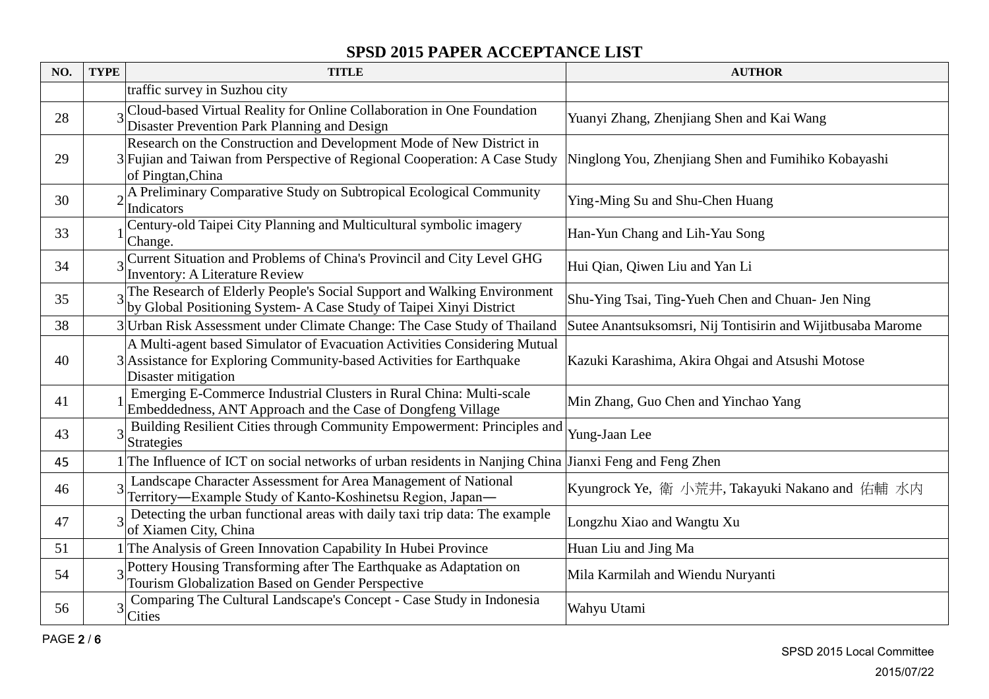| NO. | <b>TYPE</b> | <b>TITLE</b>                                                                                                                                                             | <b>AUTHOR</b>                                               |
|-----|-------------|--------------------------------------------------------------------------------------------------------------------------------------------------------------------------|-------------------------------------------------------------|
|     |             | traffic survey in Suzhou city                                                                                                                                            |                                                             |
| 28  |             | Cloud-based Virtual Reality for Online Collaboration in One Foundation<br>Disaster Prevention Park Planning and Design                                                   | Yuanyi Zhang, Zhenjiang Shen and Kai Wang                   |
| 29  |             | Research on the Construction and Development Mode of New District in<br>3 Fujian and Taiwan from Perspective of Regional Cooperation: A Case Study<br>of Pingtan, China  | Ninglong You, Zhenjiang Shen and Fumihiko Kobayashi         |
| 30  |             | al Preliminary Comparative Study on Subtropical Ecological Community<br><b>Indicators</b>                                                                                | Ying-Ming Su and Shu-Chen Huang                             |
| 33  |             | Century-old Taipei City Planning and Multicultural symbolic imagery<br>Change.                                                                                           | Han-Yun Chang and Lih-Yau Song                              |
| 34  |             | Current Situation and Problems of China's Provincil and City Level GHG<br><b>Inventory: A Literature Review</b>                                                          | Hui Qian, Qiwen Liu and Yan Li                              |
| 35  |             | 3The Research of Elderly People's Social Support and Walking Environment<br>by Global Positioning System- A Case Study of Taipei Xinyi District                          | Shu-Ying Tsai, Ting-Yueh Chen and Chuan- Jen Ning           |
| 38  |             | 3 Urban Risk Assessment under Climate Change: The Case Study of Thailand                                                                                                 | Sutee Anantsuksomsri, Nij Tontisirin and Wijitbusaba Marome |
| 40  |             | A Multi-agent based Simulator of Evacuation Activities Considering Mutual<br>3 Assistance for Exploring Community-based Activities for Earthquake<br>Disaster mitigation | Kazuki Karashima, Akira Ohgai and Atsushi Motose            |
| 41  |             | Emerging E-Commerce Industrial Clusters in Rural China: Multi-scale<br>Embeddedness, ANT Approach and the Case of Dongfeng Village                                       | Min Zhang, Guo Chen and Yinchao Yang                        |
| 43  | 3           | Building Resilient Cities through Community Empowerment: Principles and<br>Strategies                                                                                    | Yung-Jaan Lee                                               |
| 45  |             | 1 The Influence of ICT on social networks of urban residents in Nanjing China Jianxi Feng and Feng Zhen                                                                  |                                                             |
| 46  |             | Landscape Character Assessment for Area Management of National<br>Territory—Example Study of Kanto-Koshinetsu Region, Japan—                                             | Kyungrock Ye, 衛 小荒井, Takayuki Nakano and 佑輔 水内              |
| 47  |             | Detecting the urban functional areas with daily taxi trip data: The example<br>of Xiamen City, China                                                                     | Longzhu Xiao and Wangtu Xu                                  |
| 51  |             | 1 The Analysis of Green Innovation Capability In Hubei Province                                                                                                          | Huan Liu and Jing Ma                                        |
| 54  |             | Pottery Housing Transforming after The Earthquake as Adaptation on<br>Tourism Globalization Based on Gender Perspective                                                  | Mila Karmilah and Wiendu Nuryanti                           |
| 56  |             | Comparing The Cultural Landscape's Concept - Case Study in Indonesia<br><b>Cities</b>                                                                                    | Wahyu Utami                                                 |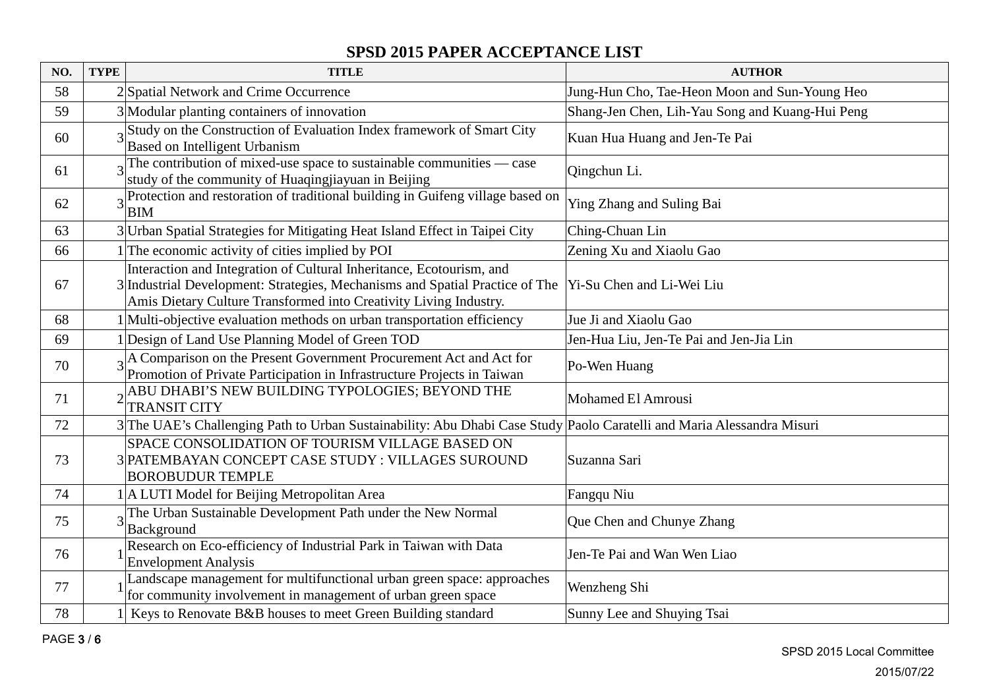| NO. | <b>TYPE</b> | <b>TITLE</b>                                                                                                                                                                                                              | <b>AUTHOR</b>                                   |
|-----|-------------|---------------------------------------------------------------------------------------------------------------------------------------------------------------------------------------------------------------------------|-------------------------------------------------|
| 58  |             | 2 Spatial Network and Crime Occurrence                                                                                                                                                                                    | Jung-Hun Cho, Tae-Heon Moon and Sun-Young Heo   |
| 59  |             | 3 Modular planting containers of innovation                                                                                                                                                                               | Shang-Jen Chen, Lih-Yau Song and Kuang-Hui Peng |
| 60  |             | Study on the Construction of Evaluation Index framework of Smart City<br>Based on Intelligent Urbanism                                                                                                                    | Kuan Hua Huang and Jen-Te Pai                   |
| 61  |             | $\frac{1}{3}$ The contribution of mixed-use space to sustainable communities — case<br>study of the community of Huaqingjiayuan in Beijing                                                                                | Qingchun Li.                                    |
| 62  |             | 3 Protection and restoration of traditional building in Guifeng village based on<br><b>BIM</b>                                                                                                                            | Ying Zhang and Suling Bai                       |
| 63  |             | 3 Urban Spatial Strategies for Mitigating Heat Island Effect in Taipei City                                                                                                                                               | Ching-Chuan Lin                                 |
| 66  |             | The economic activity of cities implied by POI                                                                                                                                                                            | Zening Xu and Xiaolu Gao                        |
| 67  |             | Interaction and Integration of Cultural Inheritance, Ecotourism, and<br>3 Industrial Development: Strategies, Mechanisms and Spatial Practice of The<br>Amis Dietary Culture Transformed into Creativity Living Industry. | Yi-Su Chen and Li-Wei Liu                       |
| 68  |             | 1 Multi-objective evaluation methods on urban transportation efficiency                                                                                                                                                   | Jue Ji and Xiaolu Gao                           |
| 69  |             | 1 Design of Land Use Planning Model of Green TOD                                                                                                                                                                          | Jen-Hua Liu, Jen-Te Pai and Jen-Jia Lin         |
| 70  |             | 2A Comparison on the Present Government Procurement Act and Act for<br>Promotion of Private Participation in Infrastructure Projects in Taiwan                                                                            | Po-Wen Huang                                    |
| 71  |             | ABU DHABI'S NEW BUILDING TYPOLOGIES; BEYOND THE<br><b>TRANSIT CITY</b>                                                                                                                                                    | Mohamed El Amrousi                              |
| 72  |             | 3The UAE's Challenging Path to Urban Sustainability: Abu Dhabi Case Study Paolo Caratelli and Maria Alessandra Misuri                                                                                                     |                                                 |
| 73  |             | SPACE CONSOLIDATION OF TOURISM VILLAGE BASED ON<br>3 PATEMBAYAN CONCEPT CASE STUDY : VILLAGES SUROUND<br><b>BOROBUDUR TEMPLE</b>                                                                                          | Suzanna Sari                                    |
| 74  |             | 1 A LUTI Model for Beijing Metropolitan Area                                                                                                                                                                              | Fangqu Niu                                      |
| 75  |             | The Urban Sustainable Development Path under the New Normal<br>Background                                                                                                                                                 | Que Chen and Chunye Zhang                       |
| 76  |             | Research on Eco-efficiency of Industrial Park in Taiwan with Data<br><b>Envelopment Analysis</b>                                                                                                                          | Jen-Te Pai and Wan Wen Liao                     |
| 77  |             | Landscape management for multifunctional urban green space: approaches<br>for community involvement in management of urban green space                                                                                    | Wenzheng Shi                                    |
| 78  |             | 1 Keys to Renovate B&B houses to meet Green Building standard                                                                                                                                                             | Sunny Lee and Shuying Tsai                      |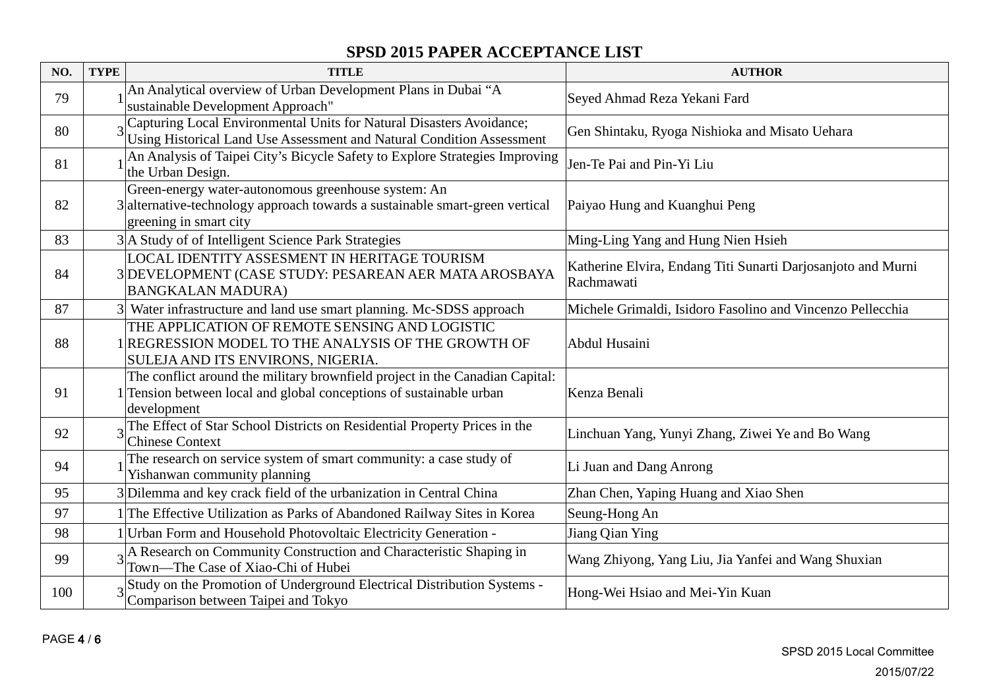| NO. | <b>TYPE</b> | <b>TITLE</b>                                                                                                                                                       | <b>AUTHOR</b>                                                              |
|-----|-------------|--------------------------------------------------------------------------------------------------------------------------------------------------------------------|----------------------------------------------------------------------------|
| 79  |             | An Analytical overview of Urban Development Plans in Dubai "A<br>sustainable Development Approach"                                                                 | Seyed Ahmad Reza Yekani Fard                                               |
| 80  |             | 3 Capturing Local Environmental Units for Natural Disasters Avoidance;<br>Using Historical Land Use Assessment and Natural Condition Assessment                    | Gen Shintaku, Ryoga Nishioka and Misato Uehara                             |
| 81  |             | An Analysis of Taipei City's Bicycle Safety to Explore Strategies Improving<br>the Urban Design.                                                                   | Jen-Te Pai and Pin-Yi Liu                                                  |
| 82  |             | Green-energy water-autonomous greenhouse system: An<br>3 alternative-technology approach towards a sustainable smart-green vertical<br>greening in smart city      | Paiyao Hung and Kuanghui Peng                                              |
| 83  |             | 3 A Study of of Intelligent Science Park Strategies                                                                                                                | Ming-Ling Yang and Hung Nien Hsieh                                         |
| 84  |             | LOCAL IDENTITY ASSESMENT IN HERITAGE TOURISM<br>3 DEVELOPMENT (CASE STUDY: PESAREAN AER MATA AROSBAYA<br><b>BANGKALAN MADURA)</b>                                  | Katherine Elvira, Endang Titi Sunarti Darjosanjoto and Murni<br>Rachmawati |
| 87  |             | 3 Water infrastructure and land use smart planning. Mc-SDSS approach                                                                                               | Michele Grimaldi, Isidoro Fasolino and Vincenzo Pellecchia                 |
| 88  |             | THE APPLICATION OF REMOTE SENSING AND LOGISTIC<br>1 REGRESSION MODEL TO THE ANALYSIS OF THE GROWTH OF<br>SULEJA AND ITS ENVIRONS, NIGERIA.                         | Abdul Husaini                                                              |
| 91  |             | The conflict around the military brownfield project in the Canadian Capital:<br>1 Tension between local and global conceptions of sustainable urban<br>development | Kenza Benali                                                               |
| 92  |             | $3$ The Effect of Star School Districts on Residential Property Prices in the<br><b>Chinese Context</b>                                                            | Linchuan Yang, Yunyi Zhang, Ziwei Ye and Bo Wang                           |
| 94  |             | The research on service system of smart community: a case study of<br>Yishanwan community planning                                                                 | Li Juan and Dang Anrong                                                    |
| 95  |             | 3Dilemma and key crack field of the urbanization in Central China                                                                                                  | Zhan Chen, Yaping Huang and Xiao Shen                                      |
| 97  |             | The Effective Utilization as Parks of Abandoned Railway Sites in Korea                                                                                             | Seung-Hong An                                                              |
| 98  |             | Urban Form and Household Photovoltaic Electricity Generation -                                                                                                     | Jiang Qian Ying                                                            |
| 99  |             | 3A Research on Community Construction and Characteristic Shaping in<br>Town-The Case of Xiao-Chi of Hubei                                                          | Wang Zhiyong, Yang Liu, Jia Yanfei and Wang Shuxian                        |
| 100 |             | Study on the Promotion of Underground Electrical Distribution Systems -<br>Comparison between Taipei and Tokyo                                                     | Hong-Wei Hsiao and Mei-Yin Kuan                                            |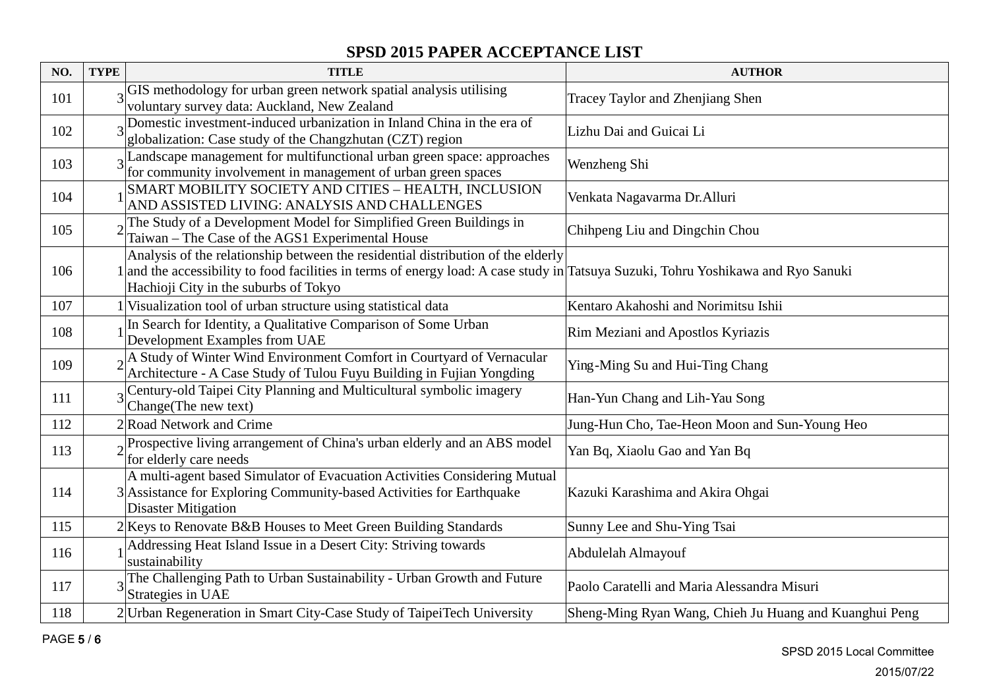| NO. | <b>TYPE</b> | <b>TITLE</b>                                                                                                                                                                                                                                                    | <b>AUTHOR</b>                                          |
|-----|-------------|-----------------------------------------------------------------------------------------------------------------------------------------------------------------------------------------------------------------------------------------------------------------|--------------------------------------------------------|
| 101 |             | GIS methodology for urban green network spatial analysis utilising<br>voluntary survey data: Auckland, New Zealand                                                                                                                                              | Tracey Taylor and Zhenjiang Shen                       |
| 102 |             | Domestic investment-induced urbanization in Inland China in the era of<br>globalization: Case study of the Changzhutan (CZT) region                                                                                                                             | Lizhu Dai and Guicai Li                                |
| 103 |             | 3 Landscape management for multifunctional urban green space: approaches<br>for community involvement in management of urban green spaces                                                                                                                       | Wenzheng Shi                                           |
| 104 |             | SMART MOBILITY SOCIETY AND CITIES - HEALTH, INCLUSION<br>AND ASSISTED LIVING: ANALYSIS AND CHALLENGES                                                                                                                                                           | Venkata Nagavarma Dr. Alluri                           |
| 105 |             | The Study of a Development Model for Simplified Green Buildings in<br>Taiwan - The Case of the AGS1 Experimental House                                                                                                                                          | Chihpeng Liu and Dingchin Chou                         |
| 106 |             | Analysis of the relationship between the residential distribution of the elderly<br>1 and the accessibility to food facilities in terms of energy load: A case study in Tatsuya Suzuki, Tohru Yoshikawa and Ryo Sanuki<br>Hachioji City in the suburbs of Tokyo |                                                        |
| 107 |             | 1 Visualization tool of urban structure using statistical data                                                                                                                                                                                                  | Kentaro Akahoshi and Norimitsu Ishii                   |
| 108 |             | In Search for Identity, a Qualitative Comparison of Some Urban<br>Development Examples from UAE                                                                                                                                                                 | Rim Meziani and Apostlos Kyriazis                      |
| 109 |             | <sub>2</sub> A Study of Winter Wind Environment Comfort in Courtyard of Vernacular<br>Architecture - A Case Study of Tulou Fuyu Building in Fujian Yongding                                                                                                     | Ying-Ming Su and Hui-Ting Chang                        |
| 111 |             | Century-old Taipei City Planning and Multicultural symbolic imagery<br>Change(The new text)                                                                                                                                                                     | Han-Yun Chang and Lih-Yau Song                         |
| 112 |             | 2 Road Network and Crime                                                                                                                                                                                                                                        | Jung-Hun Cho, Tae-Heon Moon and Sun-Young Heo          |
| 113 |             | $\alpha$ <sup>D</sup> Prospective living arrangement of China's urban elderly and an ABS model<br>for elderly care needs                                                                                                                                        | Yan Bq, Xiaolu Gao and Yan Bq                          |
| 114 |             | A multi-agent based Simulator of Evacuation Activities Considering Mutual<br>3 Assistance for Exploring Community-based Activities for Earthquake<br><b>Disaster Mitigation</b>                                                                                 | Kazuki Karashima and Akira Ohgai                       |
| 115 |             | 2 Keys to Renovate B&B Houses to Meet Green Building Standards                                                                                                                                                                                                  | Sunny Lee and Shu-Ying Tsai                            |
| 116 |             | Addressing Heat Island Issue in a Desert City: Striving towards<br>sustainability                                                                                                                                                                               | Abdulelah Almayouf                                     |
| 117 |             | 3 The Challenging Path to Urban Sustainability - Urban Growth and Future<br>Strategies in UAE                                                                                                                                                                   | Paolo Caratelli and Maria Alessandra Misuri            |
| 118 |             | 2 Urban Regeneration in Smart City-Case Study of TaipeiTech University                                                                                                                                                                                          | Sheng-Ming Ryan Wang, Chieh Ju Huang and Kuanghui Peng |